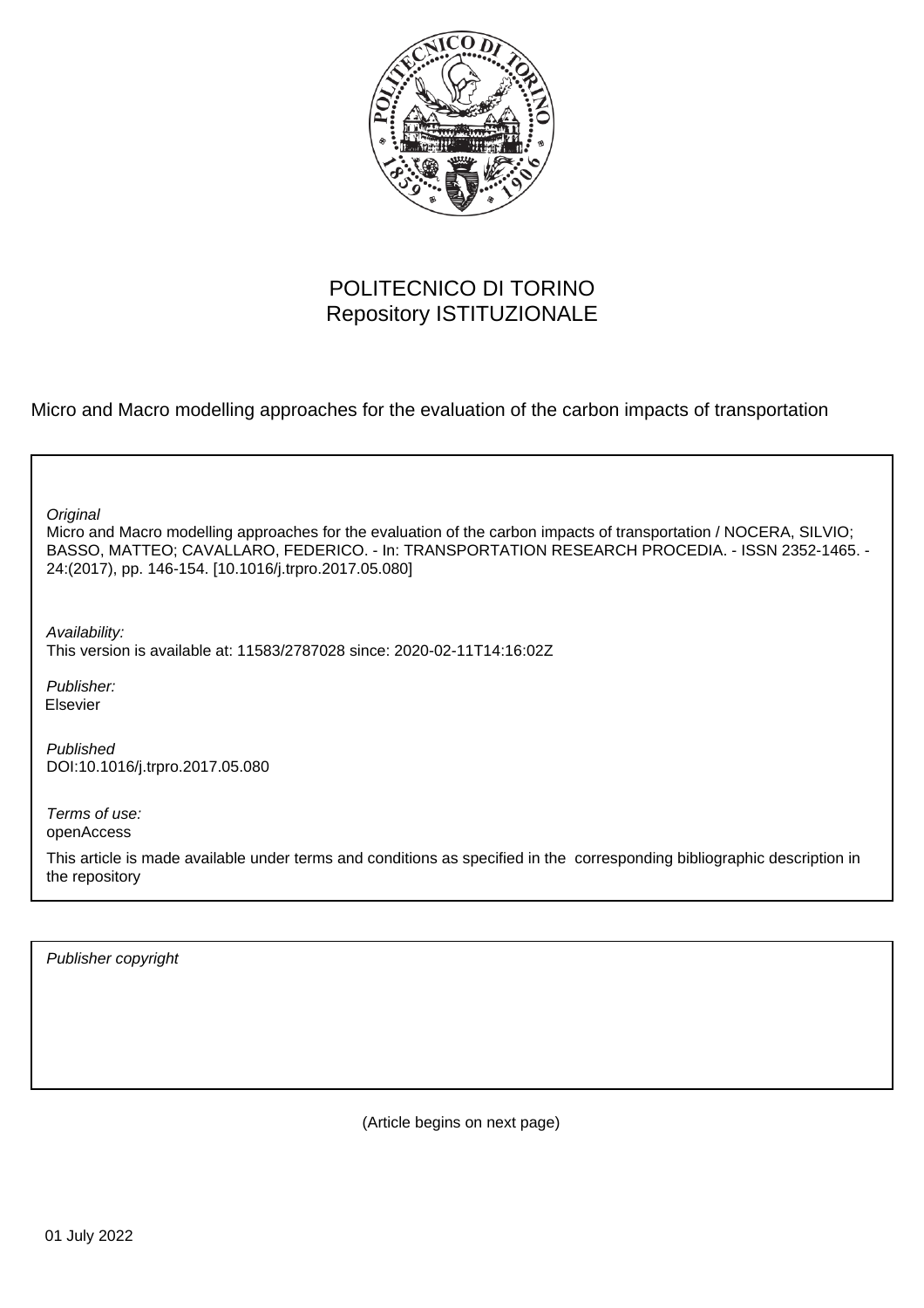

# POLITECNICO DI TORINO Repository ISTITUZIONALE

Micro and Macro modelling approaches for the evaluation of the carbon impacts of transportation

Micro and Macro modelling approaches for the evaluation of the carbon impacts of transportation / NOCERA, SILVIO; BASSO, MATTEO; CAVALLARO, FEDERICO. - In: TRANSPORTATION RESEARCH PROCEDIA. - ISSN 2352-1465. - 24:(2017), pp. 146-154. [10.1016/j.trpro.2017.05.080] **Original** Publisher: Published DOI:10.1016/j.trpro.2017.05.080 Terms of use: openAccess This article is made available under terms and conditions as specified in the corresponding bibliographic description in the repository Availability: This version is available at: 11583/2787028 since: 2020-02-11T14:16:02Z Elsevier

Publisher copyright

(Article begins on next page)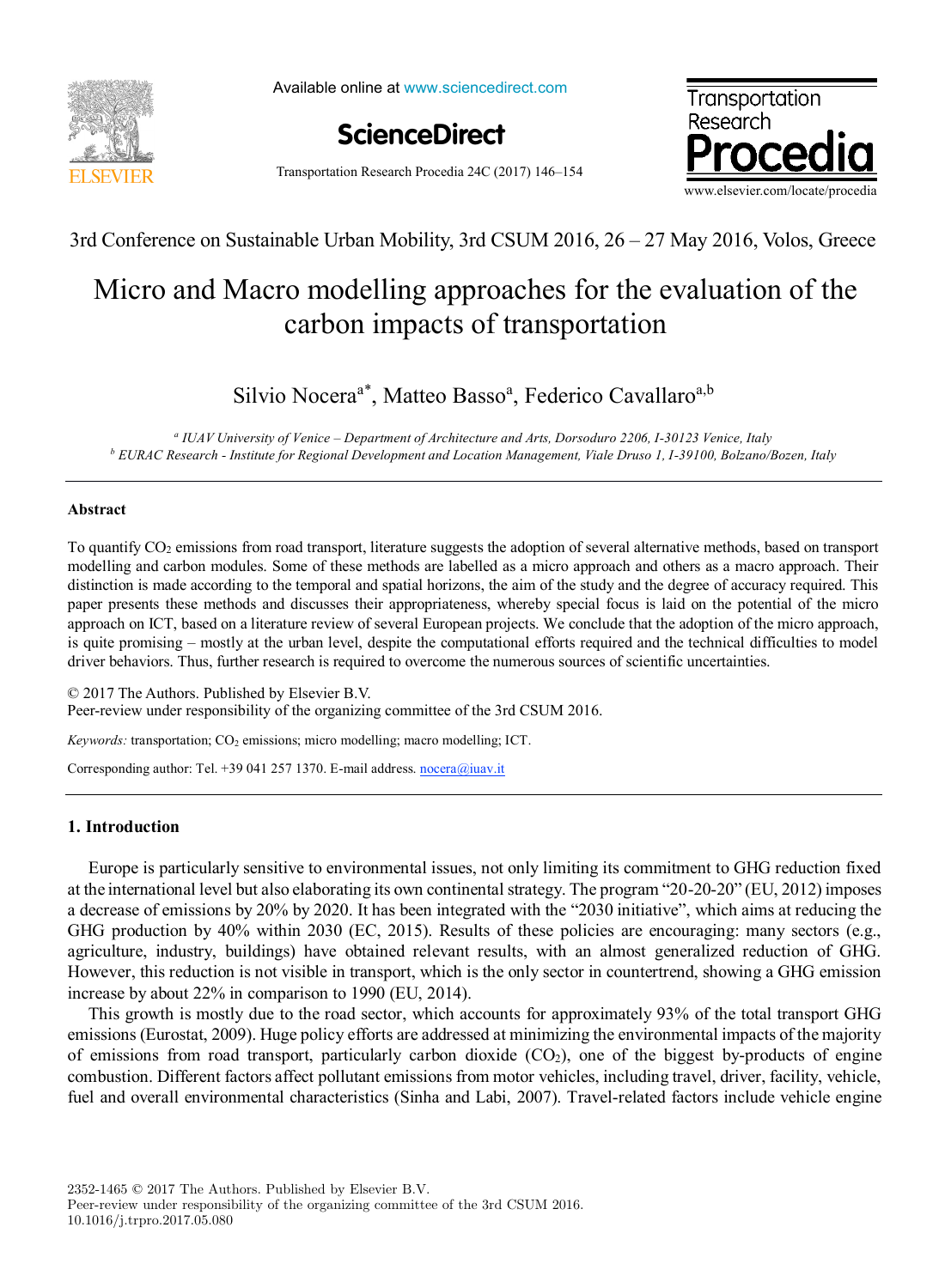

Available online at www.sciencedirect.com



Transportation Research Procedia 24C (2017) 146–154



3rd Conference on Sustainable Urban Mobility, 3rd CSUM 2016, 26 – 27 May 2016, Volos, Greece

# Micro and Macro modelling approaches for the evaluation of the Micro and Macro modelling approaches for the evaluation of the carbon impacts of transportation carbon impacts of transportation

Silvio Nocera<sup>a\*</sup>, Matteo Basso<sup>a</sup>, Federico Cavallaro<sup>a,b</sup>

<sup>a</sup> IUAV University of Venice – Department of Architecture and Arts, Dorsoduro 2206, I-30123 Venice, Italy<br><sup>b</sup> EURAC Research - Institute for Regional Development and Location Management, Viale Druso 1, I-39100, Bolzano/B

## **Abstract Abstract**

To quantify CO<sub>2</sub> emissions from road transport, literature suggests the adoption of several alternative methods, based on transport modelling and carbon modules. Some of these methods are labelled as a micro approach and others as a macro approach. Their distinction is made according to the temporal and spatial horizons, the aim of the study and the degree of accuracy required. This paper presents these methods and discusses their appropriateness, whereby special focus is laid on the potential of the micro approach on ICT, based on a literature review of several European projects. We conclude that the adoption of the micro approach, is quite promising – mostly at the urban level, despite the computational efforts required and the technical difficulties to model driver behaviors. Thus, further research is required to overcome the numerous sources of scientific uncertainties.

© 2017 The Authors. Published by Elsevier B.V. © 2017 The Authors. Fuoristica by Elsevier B.V.<br>Peer-review under responsibility of the organizing committee of the 3rd CSUM 2016.

Keywords: transportation; CO<sub>2</sub> emissions; micro modelling; macro modelling; ICT.

Corresponding author: Tel. +39 041 257 1370. E-mail address. nocera@iuav.it

### **1. Introduction 1. Introduction**

Europe is particularly sensitive to environmental issues, not only limiting its commitment to GHG reduction fixed at the international level but also elaborating its own continental strategy. The program "20-20-20" (EU, 2012) imposes a decrease of emissions by 20% by 2020. It has been integrated with the "2030 initiative", which aims at reducing the GHG production by 40% within 2030 (EC, 2015). Results of these policies are encouraging: many sectors (e.g., GHG production by 40% within 2030 (EC, 2015). Results of these policies are encouraging: many sectors (e.g., agriculture, industry, buildings) have obtained relevant results, with an almost generalized reduction of GHG. agriculture, industry, buildings) have obtained relevant results, with an almost generalized reduction of GHG. However, this reduction is not visible in transport, which is the only sector in countertrend, showing a GHG emission increase by about 22% in comparison to 1990 (EU, 2014). increase by about 22% in comparison to 1990 (EU, 2014).

This growth is mostly due to the road sector, which accounts for approximately 93% of the total transport GHG emissions (Eurostat, 2009). Huge policy efforts are addressed at minimizing the environmental impacts of the majority of emissions from road transport, particularly carbon dioxide  $(CO<sub>2</sub>)$ , one of the biggest by-products of engine combustion. Different factors affect pollutant emissions from motor vehicles, including travel, driver, facility, vehicle, fuel and overall environmental characteristics (Sinha and Labi, 2007). Travel-related factors include vehicle engine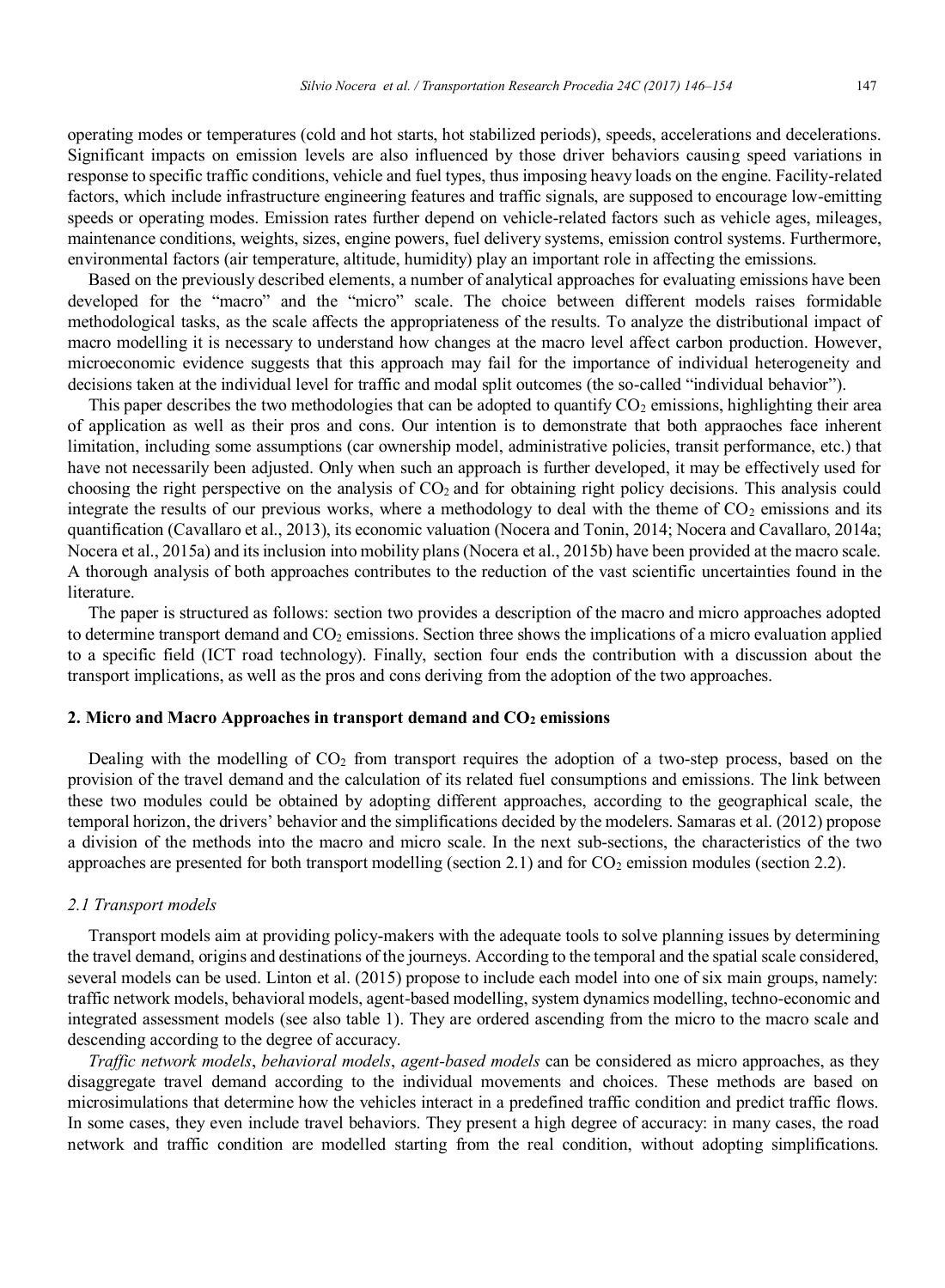operating modes or temperatures (cold and hot starts, hot stabilized periods), speeds, accelerations and decelerations. Significant impacts on emission levels are also influenced by those driver behaviors causing speed variations in response to specific traffic conditions, vehicle and fuel types, thus imposing heavy loads on the engine. Facility-related factors, which include infrastructure engineering features and traffic signals, are supposed to encourage low-emitting speeds or operating modes. Emission rates further depend on vehicle-related factors such as vehicle ages, mileages, maintenance conditions, weights, sizes, engine powers, fuel delivery systems, emission control systems. Furthermore, environmental factors (air temperature, altitude, humidity) play an important role in affecting the emissions.

Based on the previously described elements, a number of analytical approaches for evaluating emissions have been developed for the "macro" and the "micro" scale. The choice between different models raises formidable methodological tasks, as the scale affects the appropriateness of the results. To analyze the distributional impact of macro modelling it is necessary to understand how changes at the macro level affect carbon production. However, microeconomic evidence suggests that this approach may fail for the importance of individual heterogeneity and decisions taken at the individual level for traffic and modal split outcomes (the so-called "individual behavior").

This paper describes the two methodologies that can be adopted to quantify  $CO<sub>2</sub>$  emissions, highlighting their area of application as well as their pros and cons. Our intention is to demonstrate that both appraoches face inherent limitation, including some assumptions (car ownership model, administrative policies, transit performance, etc.) that have not necessarily been adjusted. Only when such an approach is further developed, it may be effectively used for choosing the right perspective on the analysis of  $CO<sub>2</sub>$  and for obtaining right policy decisions. This analysis could integrate the results of our previous works, where a methodology to deal with the theme of  $CO<sub>2</sub>$  emissions and its quantification (Cavallaro et al., 2013), its economic valuation (Nocera and Tonin, 2014; Nocera and Cavallaro, 2014a; Nocera et al., 2015a) and its inclusion into mobility plans (Nocera et al., 2015b) have been provided at the macro scale. A thorough analysis of both approaches contributes to the reduction of the vast scientific uncertainties found in the literature.

The paper is structured as follows: section two provides a description of the macro and micro approaches adopted to determine transport demand and  $CO<sub>2</sub>$  emissions. Section three shows the implications of a micro evaluation applied to a specific field (ICT road technology). Finally, section four ends the contribution with a discussion about the transport implications, as well as the pros and cons deriving from the adoption of the two approaches.

#### **2. Micro and Macro Approaches in transport demand and CO2 emissions**

Dealing with the modelling of  $CO<sub>2</sub>$  from transport requires the adoption of a two-step process, based on the provision of the travel demand and the calculation of its related fuel consumptions and emissions. The link between these two modules could be obtained by adopting different approaches, according to the geographical scale, the temporal horizon, the drivers' behavior and the simplifications decided by the modelers. Samaras et al. (2012) propose a division of the methods into the macro and micro scale. In the next sub-sections, the characteristics of the two approaches are presented for both transport modelling (section 2.1) and for  $CO_2$  emission modules (section 2.2).

#### *2.1 Transport models*

Transport models aim at providing policy-makers with the adequate tools to solve planning issues by determining the travel demand, origins and destinations of the journeys. According to the temporal and the spatial scale considered, several models can be used. Linton et al. (2015) propose to include each model into one of six main groups, namely: traffic network models, behavioral models, agent-based modelling, system dynamics modelling, techno-economic and integrated assessment models (see also table 1). They are ordered ascending from the micro to the macro scale and descending according to the degree of accuracy.

*Traffic network models*, *behavioral models*, *agent-based models* can be considered as micro approaches, as they disaggregate travel demand according to the individual movements and choices. These methods are based on microsimulations that determine how the vehicles interact in a predefined traffic condition and predict traffic flows. In some cases, they even include travel behaviors. They present a high degree of accuracy: in many cases, the road network and traffic condition are modelled starting from the real condition, without adopting simplifications.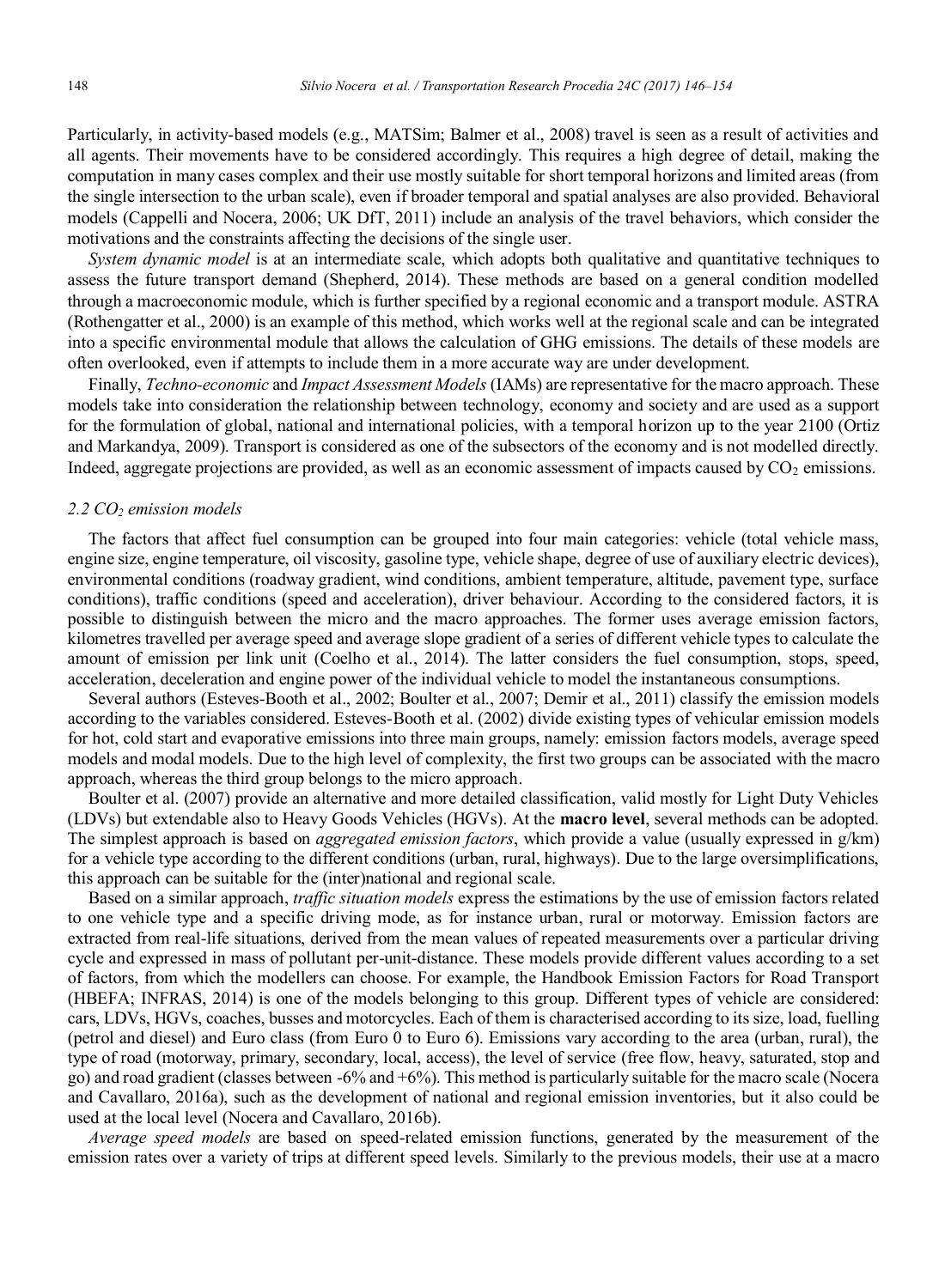Particularly, in activity-based models (e.g., MATSim; Balmer et al., 2008) travel is seen as a result of activities and all agents. Their movements have to be considered accordingly. This requires a high degree of detail, making the computation in many cases complex and their use mostly suitable for short temporal horizons and limited areas (from the single intersection to the urban scale), even if broader temporal and spatial analyses are also provided. Behavioral models (Cappelli and Nocera, 2006; UK DfT, 2011) include an analysis of the travel behaviors, which consider the motivations and the constraints affecting the decisions of the single user.

*System dynamic model* is at an intermediate scale, which adopts both qualitative and quantitative techniques to assess the future transport demand (Shepherd, 2014). These methods are based on a general condition modelled through a macroeconomic module, which is further specified by a regional economic and a transport module. ASTRA (Rothengatter et al., 2000) is an example of this method, which works well at the regional scale and can be integrated into a specific environmental module that allows the calculation of GHG emissions. The details of these models are often overlooked, even if attempts to include them in a more accurate way are under development.

Finally, *Techno-economic* and *Impact Assessment Models* (IAMs) are representative for the macro approach. These models take into consideration the relationship between technology, economy and society and are used as a support for the formulation of global, national and international policies, with a temporal horizon up to the year 2100 (Ortiz and Markandya, 2009). Transport is considered as one of the subsectors of the economy and is not modelled directly. Indeed, aggregate projections are provided, as well as an economic assessment of impacts caused by  $CO<sub>2</sub>$  emissions.

#### *2.2 CO2 emission models*

The factors that affect fuel consumption can be grouped into four main categories: vehicle (total vehicle mass, engine size, engine temperature, oil viscosity, gasoline type, vehicle shape, degree of use of auxiliary electric devices), environmental conditions (roadway gradient, wind conditions, ambient temperature, altitude, pavement type, surface conditions), traffic conditions (speed and acceleration), driver behaviour. According to the considered factors, it is possible to distinguish between the micro and the macro approaches. The former uses average emission factors, kilometres travelled per average speed and average slope gradient of a series of different vehicle types to calculate the amount of emission per link unit (Coelho et al., 2014). The latter considers the fuel consumption, stops, speed, acceleration, deceleration and engine power of the individual vehicle to model the instantaneous consumptions.

Several authors (Esteves-Booth et al., 2002; Boulter et al., 2007; Demir et al., 2011) classify the emission models according to the variables considered. Esteves-Booth et al. (2002) divide existing types of vehicular emission models for hot, cold start and evaporative emissions into three main groups, namely: emission factors models, average speed models and modal models. Due to the high level of complexity, the first two groups can be associated with the macro approach, whereas the third group belongs to the micro approach.

Boulter et al. (2007) provide an alternative and more detailed classification, valid mostly for Light Duty Vehicles (LDVs) but extendable also to Heavy Goods Vehicles (HGVs). At the **macro level**, several methods can be adopted. The simplest approach is based on *aggregated emission factors*, which provide a value (usually expressed in g/km) for a vehicle type according to the different conditions (urban, rural, highways). Due to the large oversimplifications, this approach can be suitable for the (inter)national and regional scale.

Based on a similar approach, *traffic situation models* express the estimations by the use of emission factors related to one vehicle type and a specific driving mode, as for instance urban, rural or motorway. Emission factors are extracted from real-life situations, derived from the mean values of repeated measurements over a particular driving cycle and expressed in mass of pollutant per-unit-distance. These models provide different values according to a set of factors, from which the modellers can choose. For example, the Handbook Emission Factors for Road Transport (HBEFA; INFRAS, 2014) is one of the models belonging to this group. Different types of vehicle are considered: cars, LDVs, HGVs, coaches, busses and motorcycles. Each of them is characterised according to its size, load, fuelling (petrol and diesel) and Euro class (from Euro 0 to Euro 6). Emissions vary according to the area (urban, rural), the type of road (motorway, primary, secondary, local, access), the level of service (free flow, heavy, saturated, stop and go) and road gradient (classes between -6% and +6%). This method is particularly suitable for the macro scale (Nocera and Cavallaro, 2016a), such as the development of national and regional emission inventories, but it also could be used at the local level (Nocera and Cavallaro, 2016b).

*Average speed models* are based on speed-related emission functions, generated by the measurement of the emission rates over a variety of trips at different speed levels. Similarly to the previous models, their use at a macro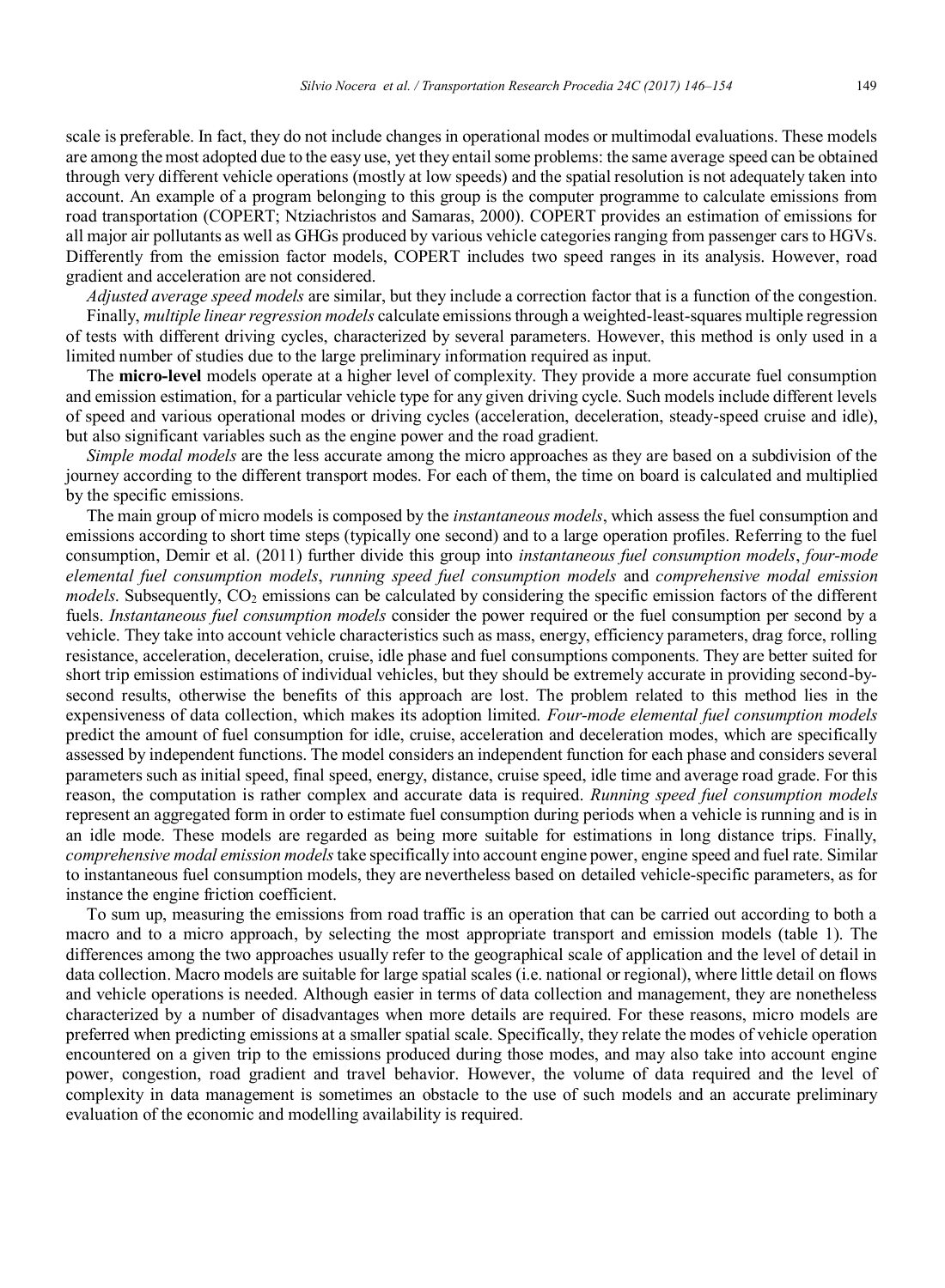scale is preferable. In fact, they do not include changes in operational modes or multimodal evaluations. These models are among the most adopted due to the easy use, yet they entail some problems: the same average speed can be obtained through very different vehicle operations (mostly at low speeds) and the spatial resolution is not adequately taken into account. An example of a program belonging to this group is the computer programme to calculate emissions from road transportation (COPERT; Ntziachristos and Samaras, 2000). COPERT provides an estimation of emissions for all major air pollutants as well as GHGs produced by various vehicle categories ranging from passenger cars to HGVs. Differently from the emission factor models, COPERT includes two speed ranges in its analysis. However, road gradient and acceleration are not considered.

*Adjusted average speed models* are similar, but they include a correction factor that is a function of the congestion. Finally, *multiple linear regression models* calculate emissions through a weighted-least-squares multiple regression of tests with different driving cycles, characterized by several parameters. However, this method is only used in a limited number of studies due to the large preliminary information required as input.

The **micro-level** models operate at a higher level of complexity. They provide a more accurate fuel consumption and emission estimation, for a particular vehicle type for any given driving cycle. Such models include different levels of speed and various operational modes or driving cycles (acceleration, deceleration, steady-speed cruise and idle), but also significant variables such as the engine power and the road gradient.

*Simple modal models* are the less accurate among the micro approaches as they are based on a subdivision of the journey according to the different transport modes. For each of them, the time on board is calculated and multiplied by the specific emissions.

The main group of micro models is composed by the *instantaneous models*, which assess the fuel consumption and emissions according to short time steps (typically one second) and to a large operation profiles. Referring to the fuel consumption, Demir et al. (2011) further divide this group into *instantaneous fuel consumption models*, *four-mode elemental fuel consumption models*, *running speed fuel consumption models* and *comprehensive modal emission models*. Subsequently, CO<sub>2</sub> emissions can be calculated by considering the specific emission factors of the different fuels. *Instantaneous fuel consumption models* consider the power required or the fuel consumption per second by a vehicle. They take into account vehicle characteristics such as mass, energy, efficiency parameters, drag force, rolling resistance, acceleration, deceleration, cruise, idle phase and fuel consumptions components. They are better suited for short trip emission estimations of individual vehicles, but they should be extremely accurate in providing second-bysecond results, otherwise the benefits of this approach are lost. The problem related to this method lies in the expensiveness of data collection, which makes its adoption limited. *Four-mode elemental fuel consumption models* predict the amount of fuel consumption for idle, cruise, acceleration and deceleration modes, which are specifically assessed by independent functions. The model considers an independent function for each phase and considers several parameters such as initial speed, final speed, energy, distance, cruise speed, idle time and average road grade. For this reason, the computation is rather complex and accurate data is required. *Running speed fuel consumption models* represent an aggregated form in order to estimate fuel consumption during periods when a vehicle is running and is in an idle mode. These models are regarded as being more suitable for estimations in long distance trips. Finally, *comprehensive modal emission models*take specifically into account engine power, engine speed and fuel rate. Similar to instantaneous fuel consumption models, they are nevertheless based on detailed vehicle-specific parameters, as for instance the engine friction coefficient.

To sum up, measuring the emissions from road traffic is an operation that can be carried out according to both a macro and to a micro approach, by selecting the most appropriate transport and emission models (table 1). The differences among the two approaches usually refer to the geographical scale of application and the level of detail in data collection. Macro models are suitable for large spatial scales (i.e. national or regional), where little detail on flows and vehicle operations is needed. Although easier in terms of data collection and management, they are nonetheless characterized by a number of disadvantages when more details are required. For these reasons, micro models are preferred when predicting emissions at a smaller spatial scale. Specifically, they relate the modes of vehicle operation encountered on a given trip to the emissions produced during those modes, and may also take into account engine power, congestion, road gradient and travel behavior. However, the volume of data required and the level of complexity in data management is sometimes an obstacle to the use of such models and an accurate preliminary evaluation of the economic and modelling availability is required.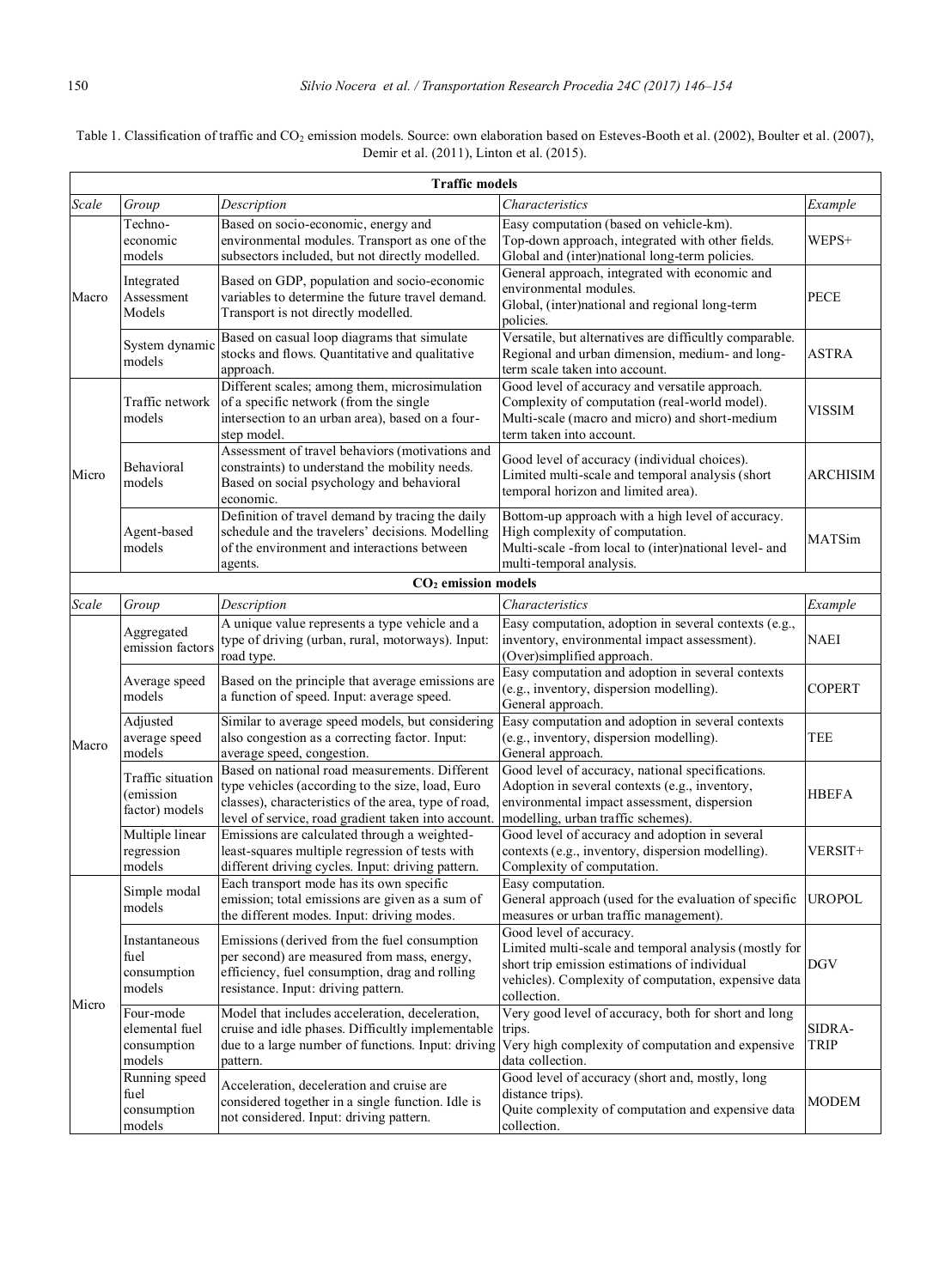|       | <b>Traffic models</b>                                |                                                                                                                                                                                                                   |                                                                                                                                                                                                          |                |  |  |  |
|-------|------------------------------------------------------|-------------------------------------------------------------------------------------------------------------------------------------------------------------------------------------------------------------------|----------------------------------------------------------------------------------------------------------------------------------------------------------------------------------------------------------|----------------|--|--|--|
| Scale | Group                                                | Description                                                                                                                                                                                                       | Characteristics                                                                                                                                                                                          | Example        |  |  |  |
| Macro | Techno-<br>economic<br>models                        | Based on socio-economic, energy and<br>environmental modules. Transport as one of the<br>subsectors included, but not directly modelled.                                                                          | Easy computation (based on vehicle-km).<br>Top-down approach, integrated with other fields.<br>Global and (inter)national long-term policies.                                                            | WEPS+          |  |  |  |
|       | Integrated<br>Assessment<br>Models                   | Based on GDP, population and socio-economic<br>variables to determine the future travel demand.<br>Transport is not directly modelled.                                                                            | General approach, integrated with economic and<br>environmental modules.<br>Global, (inter)national and regional long-term<br>policies.                                                                  | PECE           |  |  |  |
|       | System dynamic<br>models                             | Based on casual loop diagrams that simulate<br>stocks and flows. Quantitative and qualitative<br>approach.                                                                                                        | Versatile, but alternatives are difficultly comparable.<br>Regional and urban dimension, medium- and long-<br>term scale taken into account.                                                             | <b>ASTRA</b>   |  |  |  |
|       | Traffic network<br>models                            | Different scales; among them, microsimulation<br>of a specific network (from the single<br>intersection to an urban area), based on a four-<br>step model.                                                        | Good level of accuracy and versatile approach.<br>Complexity of computation (real-world model).<br>Multi-scale (macro and micro) and short-medium<br>term taken into account.                            | <b>VISSIM</b>  |  |  |  |
| Micro | Behavioral<br>models                                 | Assessment of travel behaviors (motivations and<br>constraints) to understand the mobility needs.<br>Based on social psychology and behavioral<br>economic.                                                       | Good level of accuracy (individual choices).<br>Limited multi-scale and temporal analysis (short<br>temporal horizon and limited area).                                                                  | ARCHISIM       |  |  |  |
|       | Agent-based<br>models                                | Definition of travel demand by tracing the daily<br>schedule and the travelers' decisions. Modelling<br>of the environment and interactions between<br>agents.                                                    | Bottom-up approach with a high level of accuracy.<br>High complexity of computation.<br>Multi-scale -from local to (inter)national level- and<br>multi-temporal analysis.                                | MATSim         |  |  |  |
|       | CO <sub>2</sub> emission models                      |                                                                                                                                                                                                                   |                                                                                                                                                                                                          |                |  |  |  |
| Scale | Group                                                | Description                                                                                                                                                                                                       | Characteristics                                                                                                                                                                                          | Example        |  |  |  |
| Macro | Aggregated<br>emission factors                       | A unique value represents a type vehicle and a<br>type of driving (urban, rural, motorways). Input:<br>road type.                                                                                                 | Easy computation, adoption in several contexts (e.g.,<br>inventory, environmental impact assessment).<br>(Over)simplified approach.                                                                      | <b>NAEI</b>    |  |  |  |
|       | Average speed<br>models                              | Based on the principle that average emissions are<br>a function of speed. Input: average speed.                                                                                                                   | Easy computation and adoption in several contexts<br>(e.g., inventory, dispersion modelling).<br>General approach.                                                                                       | <b>COPERT</b>  |  |  |  |
|       | Adjusted<br>average speed<br>models                  | Similar to average speed models, but considering<br>also congestion as a correcting factor. Input:<br>average speed, congestion.                                                                                  | Easy computation and adoption in several contexts<br>(e.g., inventory, dispersion modelling).<br>General approach.                                                                                       | TEE            |  |  |  |
|       | Traffic situation<br>(emission<br>factor) models     | Based on national road measurements. Different<br>type vehicles (according to the size, load, Euro<br>classes), characteristics of the area, type of road,<br>level of service, road gradient taken into account. | Good level of accuracy, national specifications.<br>Adoption in several contexts (e.g., inventory,<br>environmental impact assessment, dispersion<br>modelling, urban traffic schemes).                  | <b>HBEFA</b>   |  |  |  |
|       | Multiple linear<br>regression<br>models              | Emissions are calculated through a weighted-<br>least-squares multiple regression of tests with<br>different driving cycles. Input: driving pattern.                                                              | Good level of accuracy and adoption in several<br>contexts (e.g., inventory, dispersion modelling).<br>Complexity of computation.                                                                        | VERSIT+        |  |  |  |
| Micro | Simple modal<br>models                               | Each transport mode has its own specific<br>emission; total emissions are given as a sum of<br>the different modes. Input: driving modes.                                                                         | Easy computation.<br>General approach (used for the evaluation of specific<br>measures or urban traffic management).                                                                                     | <b>UROPOL</b>  |  |  |  |
|       | Instantaneous<br>fuel<br>consumption<br>models       | Emissions (derived from the fuel consumption<br>per second) are measured from mass, energy,<br>efficiency, fuel consumption, drag and rolling<br>resistance. Input: driving pattern.                              | Good level of accuracy.<br>Limited multi-scale and temporal analysis (mostly for<br>short trip emission estimations of individual<br>vehicles). Complexity of computation, expensive data<br>collection. | <b>DGV</b>     |  |  |  |
|       | Four-mode<br>elemental fuel<br>consumption<br>models | Model that includes acceleration, deceleration,<br>cruise and idle phases. Difficultly implementable<br>due to a large number of functions. Input: driving<br>pattern.                                            | Very good level of accuracy, both for short and long<br>trips.<br>Very high complexity of computation and expensive<br>data collection.                                                                  | SIDRA-<br>TRIP |  |  |  |
|       | Running speed<br>fuel<br>consumption<br>models       | Acceleration, deceleration and cruise are<br>considered together in a single function. Idle is<br>not considered. Input: driving pattern.                                                                         | Good level of accuracy (short and, mostly, long<br>distance trips).<br>Quite complexity of computation and expensive data<br>collection.                                                                 | <b>MODEM</b>   |  |  |  |

#### Table 1. Classification of traffic and CO<sub>2</sub> emission models. Source: own elaboration based on Esteves-Booth et al. (2002), Boulter et al. (2007), Demir et al. (2011), Linton et al. (2015).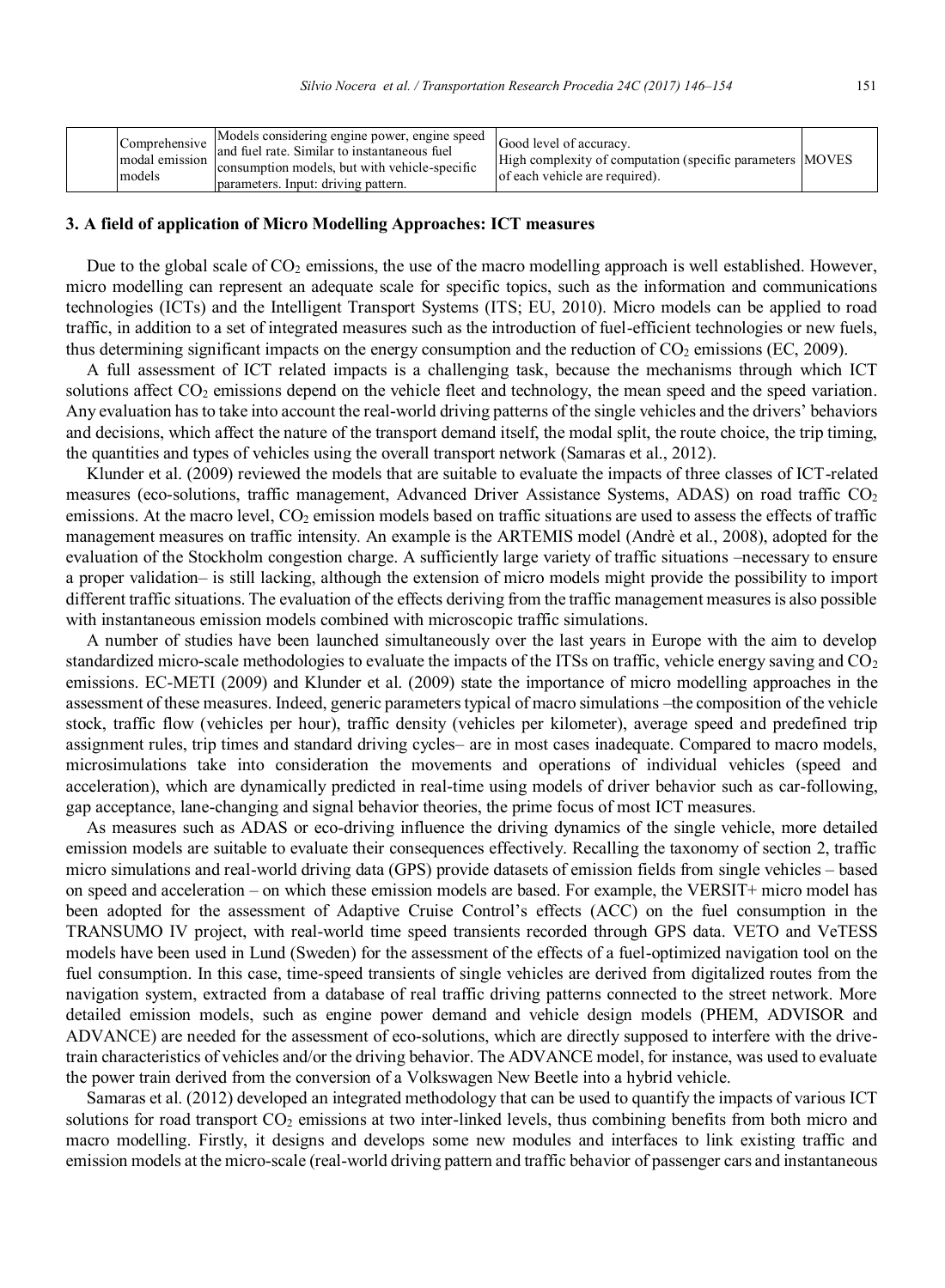| Comprehensive<br>modal emission<br>models | Models considering engine power, engine speed<br>and fuel rate. Similar to instantaneous fuel<br>consumption models, but with vehicle-specific<br>parameters. Input: driving pattern. | Good level of accuracy.<br>High complexity of computation (specific parameters MOVES<br>of each vehicle are required). |  |
|-------------------------------------------|---------------------------------------------------------------------------------------------------------------------------------------------------------------------------------------|------------------------------------------------------------------------------------------------------------------------|--|
|-------------------------------------------|---------------------------------------------------------------------------------------------------------------------------------------------------------------------------------------|------------------------------------------------------------------------------------------------------------------------|--|

#### **3. A field of application of Micro Modelling Approaches: ICT measures**

Due to the global scale of  $CO<sub>2</sub>$  emissions, the use of the macro modelling approach is well established. However, micro modelling can represent an adequate scale for specific topics, such as the information and communications technologies (ICTs) and the Intelligent Transport Systems (ITS; EU, 2010). Micro models can be applied to road traffic, in addition to a set of integrated measures such as the introduction of fuel-efficient technologies or new fuels, thus determining significant impacts on the energy consumption and the reduction of CO<sub>2</sub> emissions (EC, 2009).

A full assessment of ICT related impacts is a challenging task, because the mechanisms through which ICT solutions affect CO<sub>2</sub> emissions depend on the vehicle fleet and technology, the mean speed and the speed variation. Any evaluation has to take into account the real-world driving patterns of the single vehicles and the drivers' behaviors and decisions, which affect the nature of the transport demand itself, the modal split, the route choice, the trip timing, the quantities and types of vehicles using the overall transport network (Samaras et al., 2012).

Klunder et al. (2009) reviewed the models that are suitable to evaluate the impacts of three classes of ICT-related measures (eco-solutions, traffic management, Advanced Driver Assistance Systems, ADAS) on road traffic CO<sub>2</sub> emissions. At the macro level,  $CO_2$  emission models based on traffic situations are used to assess the effects of traffic management measures on traffic intensity. An example is the ARTEMIS model (Andrè et al., 2008), adopted for the evaluation of the Stockholm congestion charge. A sufficiently large variety of traffic situations –necessary to ensure a proper validation– is still lacking, although the extension of micro models might provide the possibility to import different traffic situations. The evaluation of the effects deriving from the traffic management measures is also possible with instantaneous emission models combined with microscopic traffic simulations.

A number of studies have been launched simultaneously over the last years in Europe with the aim to develop standardized micro-scale methodologies to evaluate the impacts of the ITSs on traffic, vehicle energy saving and  $CO<sub>2</sub>$ emissions. EC-METI (2009) and Klunder et al. (2009) state the importance of micro modelling approaches in the assessment of these measures. Indeed, generic parameters typical of macro simulations –the composition of the vehicle stock, traffic flow (vehicles per hour), traffic density (vehicles per kilometer), average speed and predefined trip assignment rules, trip times and standard driving cycles– are in most cases inadequate. Compared to macro models, microsimulations take into consideration the movements and operations of individual vehicles (speed and acceleration), which are dynamically predicted in real-time using models of driver behavior such as car-following, gap acceptance, lane-changing and signal behavior theories, the prime focus of most ICT measures.

As measures such as ADAS or eco-driving influence the driving dynamics of the single vehicle, more detailed emission models are suitable to evaluate their consequences effectively. Recalling the taxonomy of section 2, traffic micro simulations and real-world driving data (GPS) provide datasets of emission fields from single vehicles – based on speed and acceleration – on which these emission models are based. For example, the VERSIT+ micro model has been adopted for the assessment of Adaptive Cruise Control's effects (ACC) on the fuel consumption in the TRANSUMO IV project, with real-world time speed transients recorded through GPS data. VETO and VeTESS models have been used in Lund (Sweden) for the assessment of the effects of a fuel-optimized navigation tool on the fuel consumption. In this case, time-speed transients of single vehicles are derived from digitalized routes from the navigation system, extracted from a database of real traffic driving patterns connected to the street network. More detailed emission models, such as engine power demand and vehicle design models (PHEM, ADVISOR and ADVANCE) are needed for the assessment of eco-solutions, which are directly supposed to interfere with the drivetrain characteristics of vehicles and/or the driving behavior. The ADVANCE model, for instance, was used to evaluate the power train derived from the conversion of a Volkswagen New Beetle into a hybrid vehicle.

Samaras et al. (2012) developed an integrated methodology that can be used to quantify the impacts of various ICT solutions for road transport  $CO_2$  emissions at two inter-linked levels, thus combining benefits from both micro and macro modelling. Firstly, it designs and develops some new modules and interfaces to link existing traffic and emission models at the micro-scale (real-world driving pattern and traffic behavior of passenger cars and instantaneous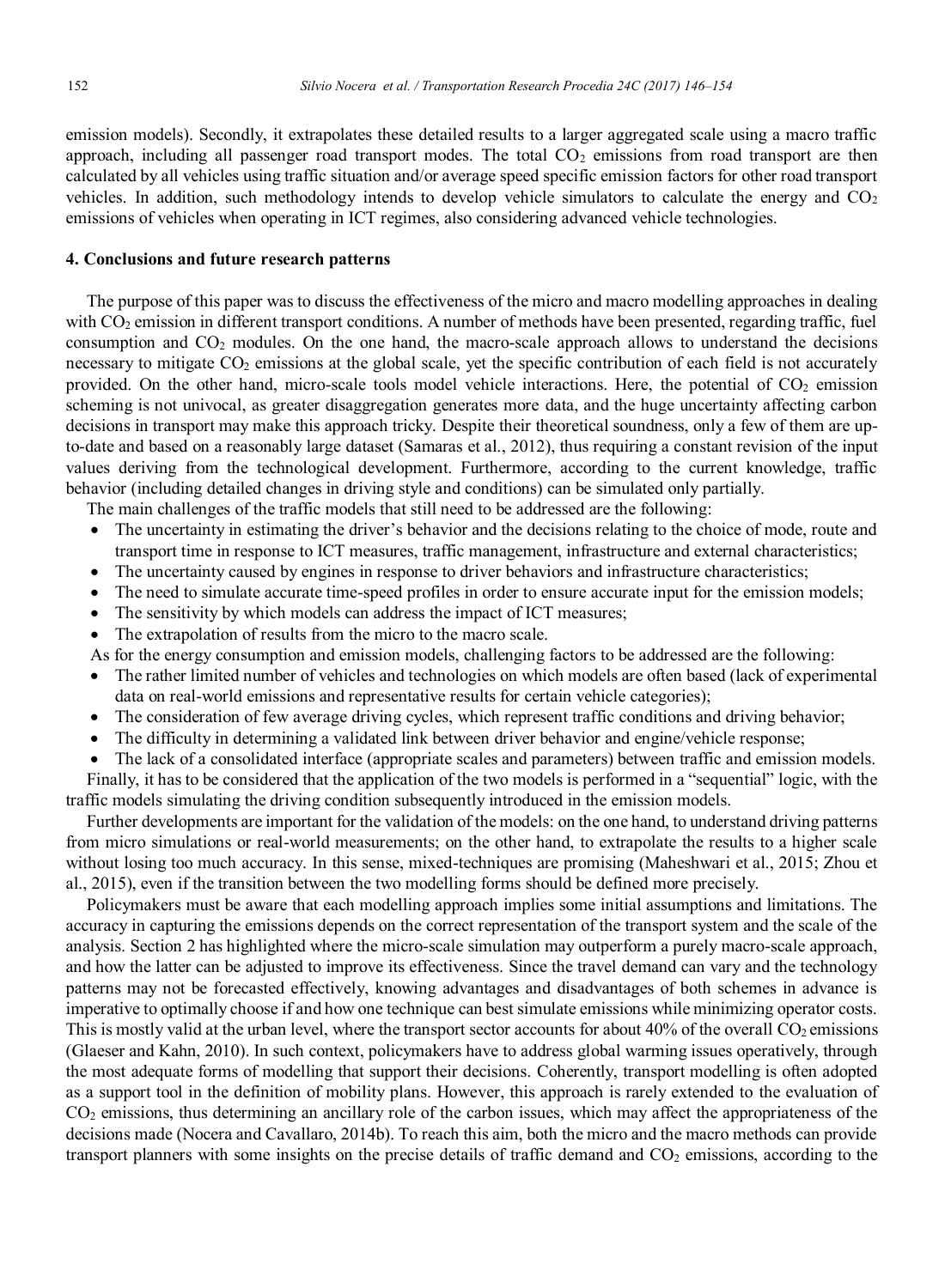emission models). Secondly, it extrapolates these detailed results to a larger aggregated scale using a macro traffic approach, including all passenger road transport modes. The total  $CO<sub>2</sub>$  emissions from road transport are then calculated by all vehicles using traffic situation and/or average speed specific emission factors for other road transport vehicles. In addition, such methodology intends to develop vehicle simulators to calculate the energy and  $CO<sub>2</sub>$ emissions of vehicles when operating in ICT regimes, also considering advanced vehicle technologies.

#### **4. Conclusions and future research patterns**

The purpose of this paper was to discuss the effectiveness of the micro and macro modelling approaches in dealing with CO<sub>2</sub> emission in different transport conditions. A number of methods have been presented, regarding traffic, fuel consumption and  $CO<sub>2</sub>$  modules. On the one hand, the macro-scale approach allows to understand the decisions necessary to mitigate  $CO<sub>2</sub>$  emissions at the global scale, yet the specific contribution of each field is not accurately provided. On the other hand, micro-scale tools model vehicle interactions. Here, the potential of  $CO<sub>2</sub>$  emission scheming is not univocal, as greater disaggregation generates more data, and the huge uncertainty affecting carbon decisions in transport may make this approach tricky. Despite their theoretical soundness, only a few of them are upto-date and based on a reasonably large dataset (Samaras et al., 2012), thus requiring a constant revision of the input values deriving from the technological development. Furthermore, according to the current knowledge, traffic behavior (including detailed changes in driving style and conditions) can be simulated only partially.

The main challenges of the traffic models that still need to be addressed are the following:

- The uncertainty in estimating the driver's behavior and the decisions relating to the choice of mode, route and transport time in response to ICT measures, traffic management, infrastructure and external characteristics;
- The uncertainty caused by engines in response to driver behaviors and infrastructure characteristics;
- The need to simulate accurate time-speed profiles in order to ensure accurate input for the emission models;
- The sensitivity by which models can address the impact of ICT measures;
- The extrapolation of results from the micro to the macro scale.

As for the energy consumption and emission models, challenging factors to be addressed are the following:

- The rather limited number of vehicles and technologies on which models are often based (lack of experimental data on real-world emissions and representative results for certain vehicle categories);
- The consideration of few average driving cycles, which represent traffic conditions and driving behavior;
- The difficulty in determining a validated link between driver behavior and engine/vehicle response;
- The lack of a consolidated interface (appropriate scales and parameters) between traffic and emission models.

Finally, it has to be considered that the application of the two models is performed in a "sequential" logic, with the traffic models simulating the driving condition subsequently introduced in the emission models.

Further developments are important for the validation of the models: on the one hand, to understand driving patterns from micro simulations or real-world measurements; on the other hand, to extrapolate the results to a higher scale without losing too much accuracy. In this sense, mixed-techniques are promising (Maheshwari et al., 2015; Zhou et al., 2015), even if the transition between the two modelling forms should be defined more precisely.

Policymakers must be aware that each modelling approach implies some initial assumptions and limitations. The accuracy in capturing the emissions depends on the correct representation of the transport system and the scale of the analysis. Section 2 has highlighted where the micro-scale simulation may outperform a purely macro-scale approach, and how the latter can be adjusted to improve its effectiveness. Since the travel demand can vary and the technology patterns may not be forecasted effectively, knowing advantages and disadvantages of both schemes in advance is imperative to optimally choose if and how one technique can best simulate emissions while minimizing operator costs. This is mostly valid at the urban level, where the transport sector accounts for about  $40\%$  of the overall CO<sub>2</sub> emissions (Glaeser and Kahn, 2010). In such context, policymakers have to address global warming issues operatively, through the most adequate forms of modelling that support their decisions. Coherently, transport modelling is often adopted as a support tool in the definition of mobility plans. However, this approach is rarely extended to the evaluation of  $CO<sub>2</sub>$  emissions, thus determining an ancillary role of the carbon issues, which may affect the appropriateness of the decisions made (Nocera and Cavallaro, 2014b). To reach this aim, both the micro and the macro methods can provide transport planners with some insights on the precise details of traffic demand and CO<sub>2</sub> emissions, according to the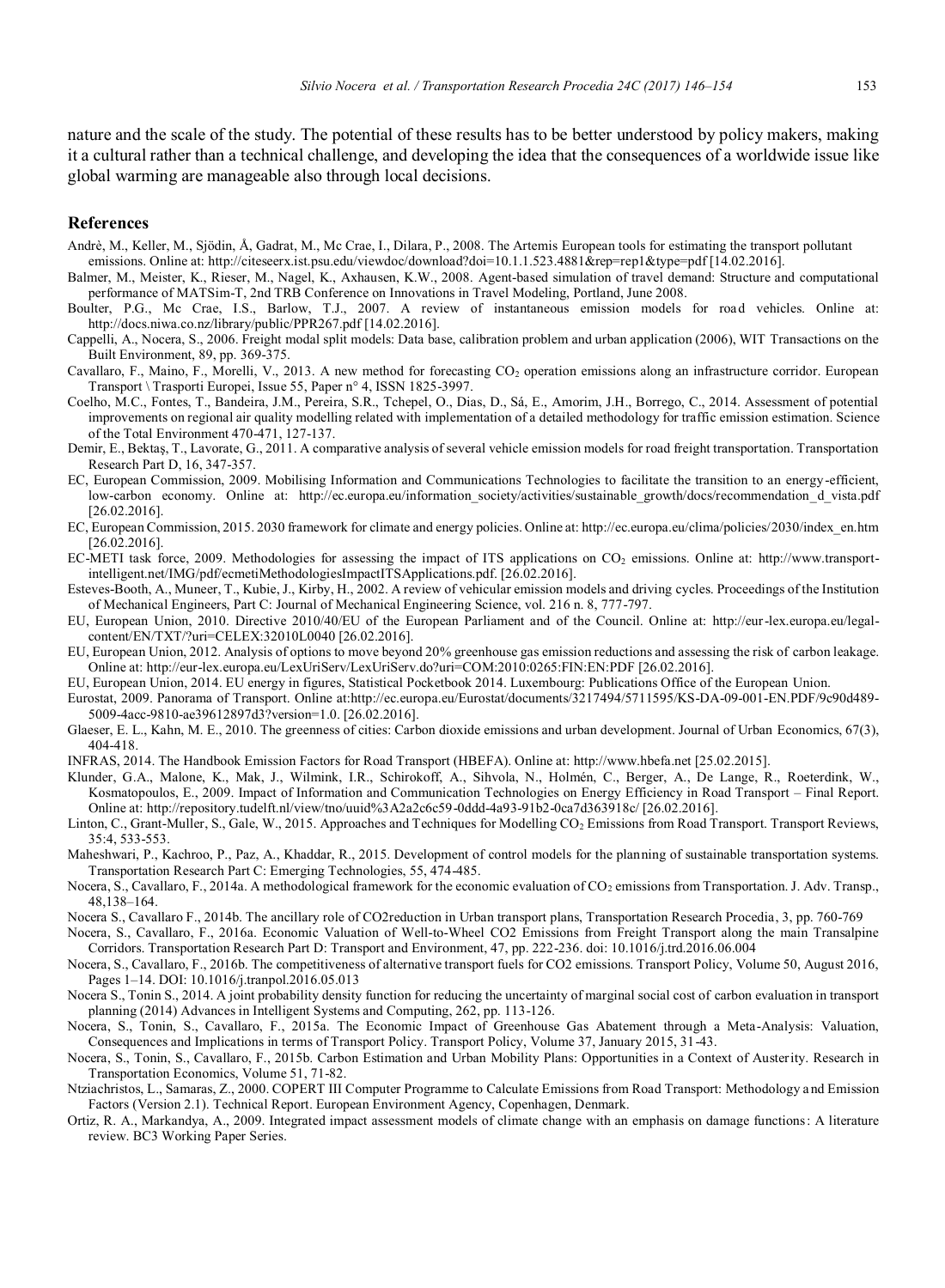nature and the scale of the study. The potential of these results has to be better understood by policy makers, making it a cultural rather than a technical challenge, and developing the idea that the consequences of a worldwide issue like global warming are manageable also through local decisions.

#### **References**

- Andrè, M., Keller, M., Sjödin, Å, Gadrat, M., Mc Crae, I., Dilara, P., 2008. The Artemis European tools for estimating the transport pollutant emissions. Online at: http://citeseerx.ist.psu.edu/viewdoc/download?doi=10.1.1.523.4881&rep=rep1&type=pdf [14.02.2016].
- Balmer, M., Meister, K., Rieser, M., Nagel, K., Axhausen, K.W., 2008. Agent-based simulation of travel demand: Structure and computational performance of MATSim-T, 2nd TRB Conference on Innovations in Travel Modeling, Portland, June 2008.
- Boulter, P.G., Mc Crae, I.S., Barlow, T.J., 2007. A review of instantaneous emission models for road vehicles. Online at: http://docs.niwa.co.nz/library/public/PPR267.pdf [14.02.2016].
- Cappelli, A., Nocera, S., 2006. Freight modal split models: Data base, calibration problem and urban application (2006), WIT Transactions on the Built Environment, 89, pp. 369-375.
- Cavallaro, F., Maino, F., Morelli, V., 2013. A new method for forecasting CO<sub>2</sub> operation emissions along an infrastructure corridor. European Transport \ Trasporti Europei, Issue 55, Paper n° 4, ISSN 1825-3997.
- Coelho, M.C., Fontes, T., Bandeira, J.M., Pereira, S.R., Tchepel, O., Dias, D., Sá, E., Amorim, J.H., Borrego, C., 2014. Assessment of potential improvements on regional air quality modelling related with implementation of a detailed methodology for traffic emission estimation. Science of the Total Environment 470-471, 127-137.
- Demir, E., Bektaş, T., Lavorate, G., 2011. A comparative analysis of several vehicle emission models for road freight transportation. Transportation Research Part D, 16, 347-357.
- EC, European Commission, 2009. Mobilising Information and Communications Technologies to facilitate the transition to an energy-efficient, low-carbon economy. Online at: http://ec.europa.eu/information society/activities/sustainable\_growth/docs/recommendation\_d\_vista.pdf [26.02.2016].
- EC, European Commission, 2015. 2030 framework for climate and energy policies. Online at: http://ec.europa.eu/clima/policies/2030/index\_en.htm [26.02.2016].
- EC-METI task force, 2009. Methodologies for assessing the impact of ITS applications on  $CO<sub>2</sub>$  emissions. Online at: http://www.transportintelligent.net/IMG/pdf/ecmetiMethodologiesImpactITSApplications.pdf. [26.02.2016].
- Esteves-Booth, A., Muneer, T., Kubie, J., Kirby, H., 2002. A review of vehicular emission models and driving cycles. Proceedings of the Institution of Mechanical Engineers, Part C: Journal of Mechanical Engineering Science, vol. 216 n. 8, 777-797.
- EU, European Union, 2010. Directive 2010/40/EU of the European Parliament and of the Council. Online at: http://eur-lex.europa.eu/legalcontent/EN/TXT/?uri=CELEX:32010L0040 [26.02.2016].
- EU, European Union, 2012. Analysis of options to move beyond 20% greenhouse gas emission reductions and assessing the risk of carbon leakage. Online at: http://eur-lex.europa.eu/LexUriServ/LexUriServ.do?uri=COM:2010:0265:FIN:EN:PDF [26.02.2016].
- EU, European Union, 2014. EU energy in figures, Statistical Pocketbook 2014. Luxembourg: Publications Office of the European Union.
- Eurostat, 2009. Panorama of Transport. Online at:http://ec.europa.eu/Eurostat/documents/3217494/5711595/KS-DA-09-001-EN.PDF/9c90d489- 5009-4acc-9810-ae39612897d3?version=1.0. [26.02.2016].
- Glaeser, E. L., Kahn, M. E., 2010. The greenness of cities: Carbon dioxide emissions and urban development. Journal of Urban Economics, 67(3), 404-418.
- INFRAS, 2014. The Handbook Emission Factors for Road Transport (HBEFA). Online at: http://www.hbefa.net [25.02.2015].
- Klunder, G.A., Malone, K., Mak, J., Wilmink, I.R., Schirokoff, A., Sihvola, N., Holmén, C., Berger, A., De Lange, R., Roeterdink, W., Kosmatopoulos, E., 2009. Impact of Information and Communication Technologies on Energy Efficiency in Road Transport – Final Report. Online at: http://repository.tudelft.nl/view/tno/uuid%3A2a2c6c59-0ddd-4a93-91b2-0ca7d363918c/ [26.02.2016].
- Linton, C., Grant-Muller, S., Gale, W., 2015. Approaches and Techniques for Modelling CO<sub>2</sub> Emissions from Road Transport. Transport Reviews, 35:4, 533-553.
- Maheshwari, P., Kachroo, P., Paz, A., Khaddar, R., 2015. Development of control models for the planning of sustainable transportation systems. Transportation Research Part C: Emerging Technologies, 55, 474-485.
- Nocera, S., Cavallaro, F., 2014a. A methodological framework for the economic evaluation of CO<sub>2</sub> emissions from Transportation. J. Adv. Transp., 48,138–164.
- Nocera S., Cavallaro F., 2014b. The ancillary role of CO2reduction in Urban transport plans, Transportation Research Procedia, 3, pp. 760-769
- Nocera, S., Cavallaro, F., 2016a. Economic Valuation of Well-to-Wheel CO2 Emissions from Freight Transport along the main Transalpine Corridors. Transportation Research Part D: Transport and Environment, 47, pp. 222-236. doi: 10.1016/j.trd.2016.06.004
- Nocera, S., Cavallaro, F., 2016b. The competitiveness of alternative transport fuels for CO2 emissions. Transport Policy, Volume 50, August 2016, Pages 1–14. DOI: 10.1016/j.tranpol.2016.05.013
- Nocera S., Tonin S., 2014. A joint probability density function for reducing the uncertainty of marginal social cost of carbon evaluation in transport planning (2014) Advances in Intelligent Systems and Computing, 262, pp. 113-126.
- Nocera, S., Tonin, S., Cavallaro, F., 2015a. The Economic Impact of Greenhouse Gas Abatement through a Meta-Analysis: Valuation, Consequences and Implications in terms of Transport Policy. Transport Policy, Volume 37, January 2015, 31-43.
- Nocera, S., Tonin, S., Cavallaro, F., 2015b. Carbon Estimation and Urban Mobility Plans: Opportunities in a Context of Austerity. Research in Transportation Economics, Volume 51, 71-82.
- Ntziachristos, L., Samaras, Z., 2000. COPERT III Computer Programme to Calculate Emissions from Road Transport: Methodology a nd Emission Factors (Version 2.1). Technical Report. European Environment Agency, Copenhagen, Denmark.
- Ortiz, R. A., Markandya, A., 2009. Integrated impact assessment models of climate change with an emphasis on damage functions: A literature review. BC3 Working Paper Series.